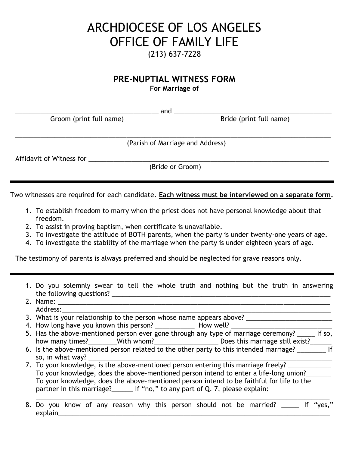## ARCHDIOCESE OF LOS ANGELES OFFICE OF FAMILY LIFE (213) 637-7228

## **PRE-NUPTIAL WITNESS FORM**

**For Marriage of**

\_\_\_\_\_\_\_\_\_\_\_\_\_\_\_\_\_\_\_\_\_\_\_\_\_\_\_\_\_\_\_\_\_\_\_\_\_\_\_\_ and \_\_\_\_\_\_\_\_\_\_\_\_\_\_\_\_\_\_\_\_\_\_\_\_\_\_\_\_\_\_\_\_\_\_\_\_\_\_\_\_\_\_\_\_ Groom (print full name) and the settle of the Bride (print full name)

\_\_\_\_\_\_\_\_\_\_\_\_\_\_\_\_\_\_\_\_\_\_\_\_\_\_\_\_\_\_\_\_\_\_\_\_\_\_\_\_\_\_\_\_\_\_\_\_\_\_\_\_\_\_\_\_\_\_\_\_\_\_\_\_\_\_\_\_\_\_\_\_\_\_\_\_\_\_\_\_\_\_\_\_\_\_\_\_ (Parish of Marriage and Address)

Affidavit of Witness for \_\_\_\_\_\_\_\_\_\_\_\_\_\_\_\_\_\_\_\_\_\_\_\_\_\_\_\_\_\_\_\_\_\_\_\_\_\_\_\_\_\_\_\_\_\_\_\_\_\_\_\_\_\_\_\_\_\_\_\_\_\_\_\_\_\_\_

(Bride or Groom)

Two witnesses are required for each candidate. **Each witness must be interviewed on a separate form.**

- 1. To establish freedom to marry when the priest does not have personal knowledge about that freedom.
- 2. To assist in proving baptism, when certificate is unavailable.
- 3. To investigate the attitude of BOTH parents, when the party is under twenty-one years of age.
- 4. To investigate the stability of the marriage when the party is under eighteen years of age.

The testimony of parents is always preferred and should be neglected for grave reasons only.

- 1. Do you solemnly swear to tell the whole truth and nothing but the truth in answering the following questions? \_\_\_\_\_\_\_\_\_\_\_\_\_\_\_\_\_\_\_\_\_\_\_\_\_\_\_\_\_\_\_\_\_\_\_\_\_\_\_\_\_\_\_\_\_\_\_\_\_\_\_\_\_\_\_\_\_\_\_\_\_ 2. Name:
- Address:
- 3. What is your relationship to the person whose name appears above?
- 4. How long have you known this person? \_\_\_\_\_\_\_\_\_\_\_ How well? \_\_\_\_\_\_\_\_\_\_\_\_\_\_\_\_\_\_\_\_\_\_\_\_\_\_\_\_
- 5. Has the above-mentioned person ever gone through any type of marriage ceremony? \_\_\_\_\_ If so, how many times?\_\_\_\_\_\_\_\_With whom?\_\_\_\_\_\_\_\_\_\_\_\_\_\_\_\_\_\_\_\_Does this marriage still exist?\_\_\_\_\_\_
- 6. Is the above-mentioned person related to the other party to this intended marriage? \_\_\_\_\_\_\_\_ If so, in what way?
- 7. To your knowledge, is the above-mentioned person entering this marriage freely? To your knowledge, does the above-mentioned person intend to enter a life-long union? To your knowledge, does the above-mentioned person intend to be faithful for life to the partner in this marriage? If "no," to any part of Q. 7, please explain:
- \_\_\_\_\_\_\_\_\_\_\_\_\_\_\_\_\_\_\_\_\_\_\_\_\_\_\_\_\_\_\_\_\_\_\_\_\_\_\_\_\_\_\_\_\_\_\_\_\_\_\_\_\_\_\_\_\_\_\_\_\_\_\_\_\_\_\_\_\_\_\_\_\_\_\_\_\_\_\_\_\_\_ 8. Do you know of any reason why this person should not be married? \_\_\_\_\_ If "yes," explain